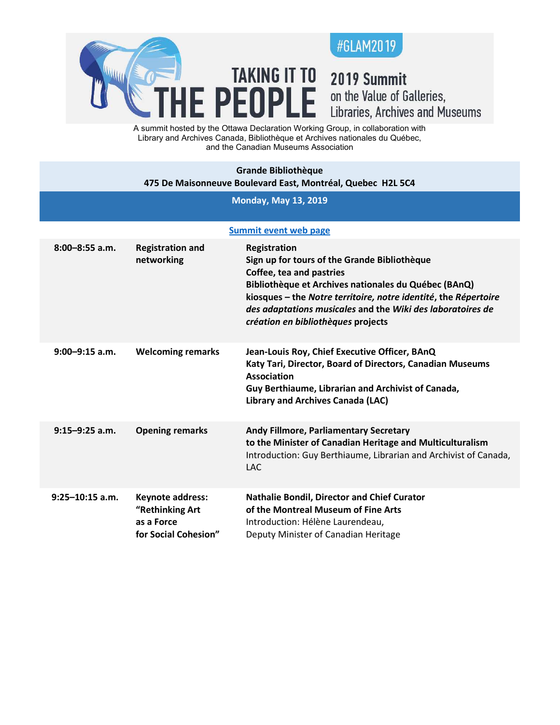

## 2019 Summit on the Value of Galleries,<br>Libraries, Archives and Museums

A summit hosted by the Ottawa Declaration Working Group, in collaboration with Library and Archives Canada, Bibliothèque et Archives nationales du Québec, and the Canadian Museums Association

**TAKING IT TO** 

E PEOPLE

| <b>Grande Bibliothèque</b><br>475 De Maisonneuve Boulevard East, Montréal, Quebec H2L 5C4 |                                                                           |                                                                                                                                                                                                                                                                                                                         |  |  |  |
|-------------------------------------------------------------------------------------------|---------------------------------------------------------------------------|-------------------------------------------------------------------------------------------------------------------------------------------------------------------------------------------------------------------------------------------------------------------------------------------------------------------------|--|--|--|
| <b>Monday, May 13, 2019</b>                                                               |                                                                           |                                                                                                                                                                                                                                                                                                                         |  |  |  |
| <b>Summit event web page</b>                                                              |                                                                           |                                                                                                                                                                                                                                                                                                                         |  |  |  |
| $8:00 - 8:55$ a.m.                                                                        | <b>Registration and</b><br>networking                                     | Registration<br>Sign up for tours of the Grande Bibliothèque<br>Coffee, tea and pastries<br>Bibliothèque et Archives nationales du Québec (BAnQ)<br>kiosques – the Notre territoire, notre identité, the Répertoire<br>des adaptations musicales and the Wiki des laboratoires de<br>création en bibliothèques projects |  |  |  |
| $9:00 - 9:15$ a.m.                                                                        | <b>Welcoming remarks</b>                                                  | Jean-Louis Roy, Chief Executive Officer, BAnQ<br>Katy Tari, Director, Board of Directors, Canadian Museums<br><b>Association</b><br>Guy Berthiaume, Librarian and Archivist of Canada,<br><b>Library and Archives Canada (LAC)</b>                                                                                      |  |  |  |
| $9:15 - 9:25$ a.m.                                                                        | <b>Opening remarks</b>                                                    | Andy Fillmore, Parliamentary Secretary<br>to the Minister of Canadian Heritage and Multiculturalism<br>Introduction: Guy Berthiaume, Librarian and Archivist of Canada,<br><b>LAC</b>                                                                                                                                   |  |  |  |
| $9:25 - 10:15$ a.m.                                                                       | Keynote address:<br>"Rethinking Art<br>as a Force<br>for Social Cohesion" | Nathalie Bondil, Director and Chief Curator<br>of the Montreal Museum of Fine Arts<br>Introduction: Hélène Laurendeau,<br>Deputy Minister of Canadian Heritage                                                                                                                                                          |  |  |  |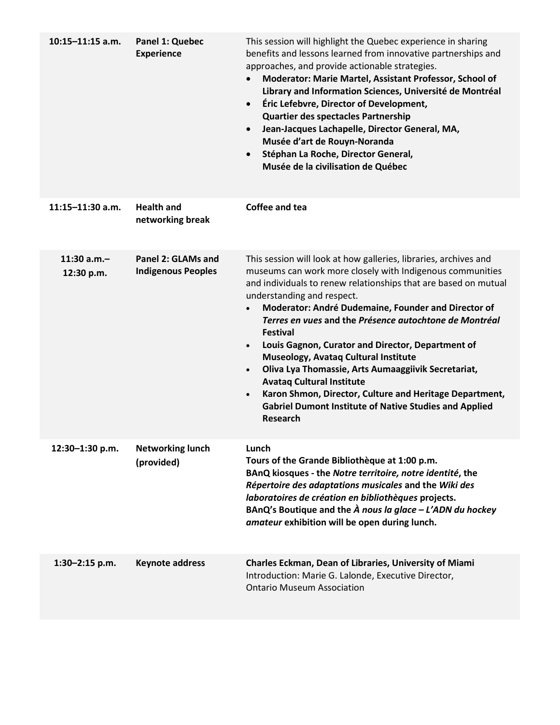| $10:15 - 11:15$ a.m.      | Panel 1: Quebec<br><b>Experience</b>            | This session will highlight the Quebec experience in sharing<br>benefits and lessons learned from innovative partnerships and<br>approaches, and provide actionable strategies.<br>Moderator: Marie Martel, Assistant Professor, School of<br>Library and Information Sciences, Université de Montréal<br>Éric Lefebvre, Director of Development,<br>$\bullet$<br>Quartier des spectacles Partnership<br>Jean-Jacques Lachapelle, Director General, MA,<br>$\bullet$<br>Musée d'art de Rouyn-Noranda<br>Stéphan La Roche, Director General,<br>$\bullet$<br>Musée de la civilisation de Québec                                                                                                                                                                |
|---------------------------|-------------------------------------------------|---------------------------------------------------------------------------------------------------------------------------------------------------------------------------------------------------------------------------------------------------------------------------------------------------------------------------------------------------------------------------------------------------------------------------------------------------------------------------------------------------------------------------------------------------------------------------------------------------------------------------------------------------------------------------------------------------------------------------------------------------------------|
| $11:15 - 11:30$ a.m.      | <b>Health and</b><br>networking break           | Coffee and tea                                                                                                                                                                                                                                                                                                                                                                                                                                                                                                                                                                                                                                                                                                                                                |
| 11:30 a.m.-<br>12:30 p.m. | Panel 2: GLAMs and<br><b>Indigenous Peoples</b> | This session will look at how galleries, libraries, archives and<br>museums can work more closely with Indigenous communities<br>and individuals to renew relationships that are based on mutual<br>understanding and respect.<br>Moderator: André Dudemaine, Founder and Director of<br>$\bullet$<br>Terres en vues and the Présence autochtone de Montréal<br><b>Festival</b><br>Louis Gagnon, Curator and Director, Department of<br>$\bullet$<br>Museology, Avataq Cultural Institute<br>Oliva Lya Thomassie, Arts Aumaaggiivik Secretariat,<br>$\bullet$<br><b>Avataq Cultural Institute</b><br>Karon Shmon, Director, Culture and Heritage Department,<br>$\bullet$<br><b>Gabriel Dumont Institute of Native Studies and Applied</b><br><b>Research</b> |
| 12:30-1:30 p.m.           | <b>Networking lunch</b><br>(provided)           | Lunch<br>Tours of the Grande Bibliothèque at 1:00 p.m.<br>BAnQ kiosques - the Notre territoire, notre identité, the<br>Répertoire des adaptations musicales and the Wiki des<br>laboratoires de création en bibliothèques projects.<br>BAnQ's Boutique and the $\hat{A}$ nous la glace - L'ADN du hockey<br>amateur exhibition will be open during lunch.                                                                                                                                                                                                                                                                                                                                                                                                     |
| $1:30 - 2:15$ p.m.        | <b>Keynote address</b>                          | Charles Eckman, Dean of Libraries, University of Miami<br>Introduction: Marie G. Lalonde, Executive Director,<br><b>Ontario Museum Association</b>                                                                                                                                                                                                                                                                                                                                                                                                                                                                                                                                                                                                            |